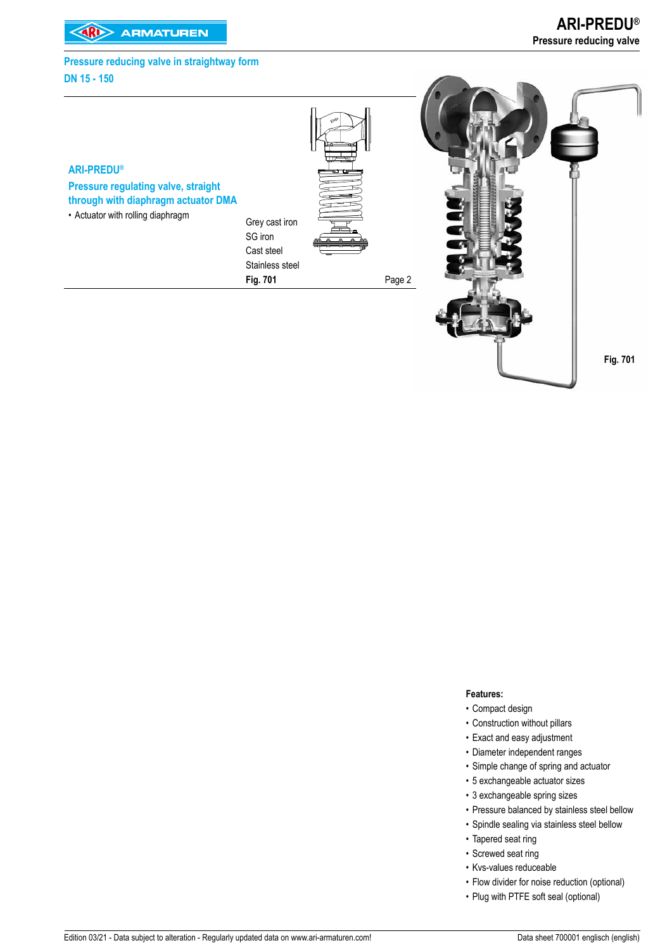# **Pressure reducing valve in straightway form DN 15 - 150**



## **Features:**

- Compact design
- Construction without pillars
- Exact and easy adjustment
- Diameter independent ranges
- Simple change of spring and actuator
- 5 exchangeable actuator sizes
- 3 exchangeable spring sizes
- Pressure balanced by stainless steel bellow
- Spindle sealing via stainless steel bellow
- Tapered seat ring
- Screwed seat ring
- Kvs-values reduceable
- Flow divider for noise reduction (optional)
- Plug with PTFE soft seal (optional)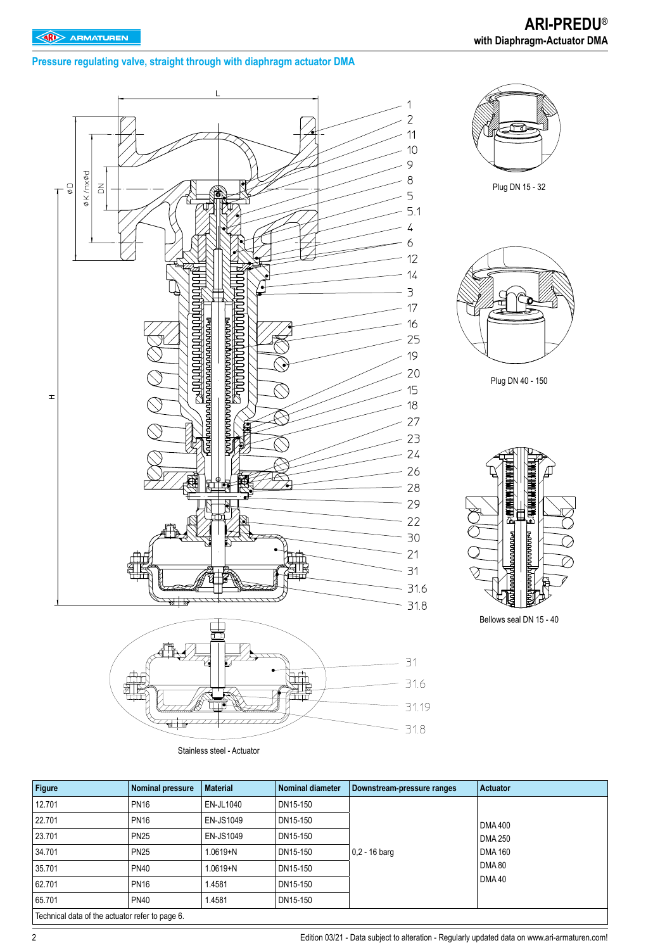**Pressure regulating valve, straight through with diaphragm actuator DMA** 



Stainless steel - Actuator

| Figure                                          | Nominal pressure | <b>Material</b> | Nominal diameter | Downstream-pressure ranges | <b>Actuator</b> |
|-------------------------------------------------|------------------|-----------------|------------------|----------------------------|-----------------|
| 12.701                                          | <b>PN16</b>      | EN-JL1040       | DN15-150         |                            |                 |
| 22.701                                          | <b>PN16</b>      | EN-JS1049       | DN15-150         |                            | <b>DMA 400</b>  |
| 23.701                                          | <b>PN25</b>      | EN-JS1049       | DN15-150         |                            | <b>DMA 250</b>  |
| 34.701                                          | <b>PN25</b>      | $1.0619 + N$    | DN15-150         | $0.2 - 16$ barg            | <b>DMA 160</b>  |
| 35.701                                          | <b>PN40</b>      | $1.0619 + N$    | DN15-150         |                            | <b>DMA 80</b>   |
| 62.701                                          | <b>PN16</b>      | 1.4581          | DN15-150         |                            | <b>DMA40</b>    |
| 65.701                                          | <b>PN40</b>      | 1.4581          | DN15-150         |                            |                 |
| Technical data of the actuator refer to page 6. |                  |                 |                  |                            |                 |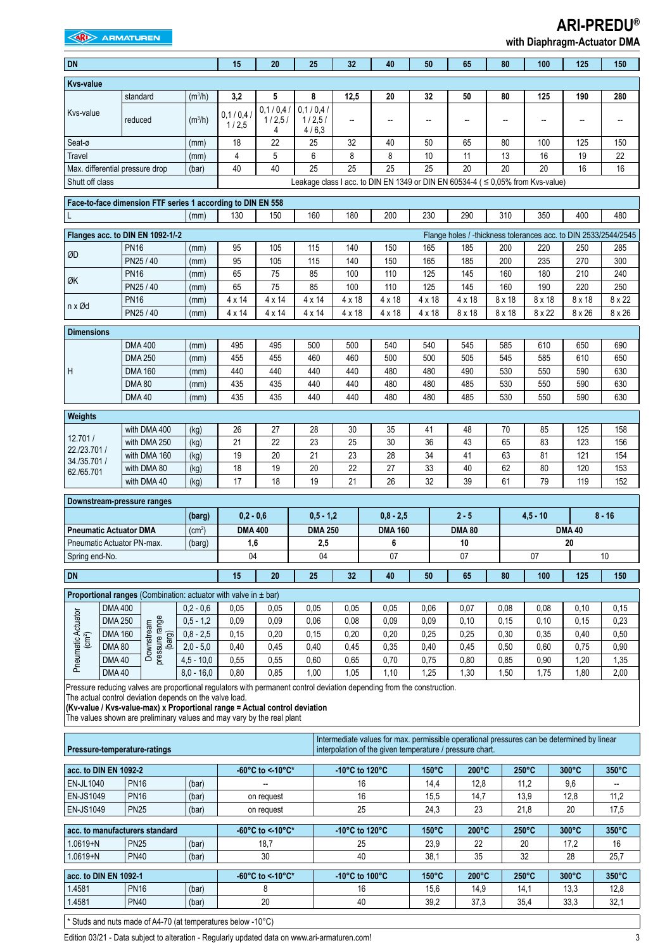# **EXAMPLE ARMATUREN**

# **ARI-PREDU®**

|  | with Diaphragm-Actuator DMA |  |
|--|-----------------------------|--|
|--|-----------------------------|--|

| <b>DN</b>                      |                                  |                                                                                                                                                                                                                                                                                                                                           |                            | 15                 | 20                      | 25                          | 32                                                   | 40                                                                                                                                                     | 50                       | 65                                                              | 80            | 100             | 125             | 150             |
|--------------------------------|----------------------------------|-------------------------------------------------------------------------------------------------------------------------------------------------------------------------------------------------------------------------------------------------------------------------------------------------------------------------------------------|----------------------------|--------------------|-------------------------|-----------------------------|------------------------------------------------------|--------------------------------------------------------------------------------------------------------------------------------------------------------|--------------------------|-----------------------------------------------------------------|---------------|-----------------|-----------------|-----------------|
| <b>Kvs-value</b>               |                                  |                                                                                                                                                                                                                                                                                                                                           |                            |                    |                         |                             |                                                      |                                                                                                                                                        |                          |                                                                 |               |                 |                 |                 |
|                                |                                  | standard                                                                                                                                                                                                                                                                                                                                  | (m <sup>3</sup> /h)        | 3,2                | 5                       | 8                           | 12,5                                                 | 20                                                                                                                                                     | 32                       | 50                                                              | 80            | 125             | 190             | 280             |
| Kvs-value                      |                                  | reduced                                                                                                                                                                                                                                                                                                                                   | (m <sup>3</sup> /h)        | 0.1 / 0.4<br>1/2,5 | 0,1/0,4/<br>1/2,5/<br>4 | 0,1/0,4/<br>1/2,5/<br>4/6,3 | --                                                   | $\overline{a}$                                                                                                                                         | $\overline{\phantom{a}}$ | --                                                              | --            | --              | --              | --              |
| Seat-ø                         |                                  |                                                                                                                                                                                                                                                                                                                                           | (mm)                       | 18                 | 22                      | 25                          | 32                                                   | 40                                                                                                                                                     | 50                       | 65                                                              | 80            | 100             | 125             | 150             |
| Travel                         |                                  |                                                                                                                                                                                                                                                                                                                                           | (mm)                       | 4                  | 5                       | 6                           | 8                                                    | 8                                                                                                                                                      | 10                       | 11                                                              | 13            | 16              | 19              | 22              |
|                                |                                  | Max. differential pressure drop                                                                                                                                                                                                                                                                                                           | (bar)                      | 40                 | 40                      | 25                          | 25                                                   | 25                                                                                                                                                     | 25                       | 20                                                              | 20            | 20              | 16              | 16              |
| Shutt off class                |                                  |                                                                                                                                                                                                                                                                                                                                           |                            |                    |                         |                             |                                                      | Leakage class I acc. to DIN EN 1349 or DIN EN 60534-4 ( ≤ 0,05% from Kvs-value)                                                                        |                          |                                                                 |               |                 |                 |                 |
|                                |                                  | Face-to-face dimension FTF series 1 according to DIN EN 558                                                                                                                                                                                                                                                                               |                            |                    |                         |                             |                                                      |                                                                                                                                                        |                          |                                                                 |               |                 |                 |                 |
|                                |                                  |                                                                                                                                                                                                                                                                                                                                           | (mm)                       | 130                | 150                     | 160                         | 180                                                  | 200                                                                                                                                                    | 230                      | 290                                                             | 310           | 350             | 400             | 480             |
|                                |                                  | Flanges acc. to DIN EN 1092-1/-2                                                                                                                                                                                                                                                                                                          |                            |                    |                         |                             |                                                      |                                                                                                                                                        |                          | Flange holes / -thickness tolerances acc. to DIN 2533/2544/2545 |               |                 |                 |                 |
|                                |                                  | <b>PN16</b>                                                                                                                                                                                                                                                                                                                               | (mm)                       | 95                 | 105                     | 115                         | 140                                                  | 150                                                                                                                                                    | 165                      | 185                                                             | 200           | 220             | 250             | 285             |
| ØD                             |                                  | PN25 / 40                                                                                                                                                                                                                                                                                                                                 | (mm)                       | 95                 | 105                     | 115                         | 140                                                  | 150                                                                                                                                                    | 165                      | 185                                                             | 200           | 235             | 270             | 300             |
|                                |                                  | <b>PN16</b>                                                                                                                                                                                                                                                                                                                               | (mm)                       | 65                 | 75                      | 85                          | 100                                                  | 110                                                                                                                                                    | 125                      | 145                                                             | 160           | 180             | 210             | 240             |
| ØK                             |                                  | PN25 / 40                                                                                                                                                                                                                                                                                                                                 | (mm)                       | 65                 | 75                      | 85                          | 100                                                  | 110                                                                                                                                                    | 125                      | 145                                                             | 160           | 190             | 220             | 250             |
| n x Ød                         |                                  | <b>PN16</b>                                                                                                                                                                                                                                                                                                                               | (mm)                       | $4 \times 14$      | $4 \times 14$           | 4 x 14                      | $4 \times 18$                                        | $4 \times 18$                                                                                                                                          | $4 \times 18$            | $4 \times 18$                                                   | 8 x 18        | 8 x 18          | 8 x 18          | 8 x 22          |
|                                |                                  | PN25 / 40                                                                                                                                                                                                                                                                                                                                 | (mm)                       | 4 x 14             | $4 \times 14$           | 4 x 14                      | $4 \times 18$                                        | 4 x 18                                                                                                                                                 | 4 x 18                   | 8 x 18                                                          | $8 \times 18$ | 8 x 22          | 8 x 26          | $8 \times 26$   |
| <b>Dimensions</b>              |                                  |                                                                                                                                                                                                                                                                                                                                           |                            |                    |                         |                             |                                                      |                                                                                                                                                        |                          |                                                                 |               |                 |                 |                 |
|                                |                                  | <b>DMA400</b>                                                                                                                                                                                                                                                                                                                             | (mm)                       | 495                | 495                     | 500                         | 500                                                  | 540                                                                                                                                                    | 540                      | 545                                                             | 585           | 610             | 650             | 690             |
|                                |                                  | <b>DMA 250</b>                                                                                                                                                                                                                                                                                                                            | (mm)                       | 455                | 455                     | 460                         | 460                                                  | 500                                                                                                                                                    | 500                      | 505                                                             | 545           | 585             | 610             | 650             |
| H                              |                                  | <b>DMA 160</b>                                                                                                                                                                                                                                                                                                                            | (mm)                       | 440                | 440                     | 440                         | 440                                                  | 480                                                                                                                                                    | 480                      | 490                                                             | 530           | 550             | 590             | 630             |
|                                |                                  | <b>DMA 80</b>                                                                                                                                                                                                                                                                                                                             | (mm)                       | 435                | 435                     | 440                         | 440                                                  | 480                                                                                                                                                    | 480                      | 485                                                             | 530           | 550             | 590             | 630             |
|                                |                                  | <b>DMA40</b>                                                                                                                                                                                                                                                                                                                              | (mm)                       | 435                | 435                     | 440                         | 440                                                  | 480                                                                                                                                                    | 480                      | 485                                                             | 530           | 550             | 590             | 630             |
| Weights                        |                                  |                                                                                                                                                                                                                                                                                                                                           |                            |                    |                         |                             |                                                      |                                                                                                                                                        |                          |                                                                 |               |                 |                 |                 |
|                                |                                  | with DMA 400                                                                                                                                                                                                                                                                                                                              | (kg)                       | 26                 | 27                      | 28                          | 30                                                   | 35                                                                                                                                                     | 41                       | 48                                                              | 70            | 85              | 125             | 158             |
| 12.701 /                       |                                  | with DMA 250                                                                                                                                                                                                                                                                                                                              | (kg)                       | 21                 | 22                      | 23                          | 25                                                   | 30                                                                                                                                                     | 36                       | 43                                                              | 65            | 83              | 123             | 156             |
| 22./23.701 /<br>34./35.701 /   |                                  | with DMA 160                                                                                                                                                                                                                                                                                                                              | (kg)                       | 19                 | 20                      | 21                          | 23                                                   | 28                                                                                                                                                     | 34                       | 41                                                              | 63            | 81              | 121             | 154             |
| 62./65.701                     |                                  | with DMA 80                                                                                                                                                                                                                                                                                                                               | (kg)                       | 18                 | 19                      | 20                          | 22                                                   | 27                                                                                                                                                     | 33                       | 40                                                              | 62            | 80              | 120             | 153             |
|                                |                                  | with DMA 40                                                                                                                                                                                                                                                                                                                               | (kg)                       | 17                 | 18                      | 19                          | 21                                                   | 26                                                                                                                                                     | 32                       | 39                                                              | 61            | 79              | 119             | 152             |
|                                |                                  | Downstream-pressure ranges                                                                                                                                                                                                                                                                                                                |                            |                    |                         |                             |                                                      |                                                                                                                                                        |                          |                                                                 |               |                 |                 |                 |
|                                |                                  |                                                                                                                                                                                                                                                                                                                                           | (barg)                     | $0,2 - 0,6$        |                         | $0,5 - 1,2$                 |                                                      | $0,8 - 2,5$                                                                                                                                            |                          | $2 - 5$                                                         |               | $4.5 - 10$      |                 | $8 - 16$        |
|                                |                                  | <b>Pneumatic Actuator DMA</b>                                                                                                                                                                                                                                                                                                             | (cm <sup>2</sup> )         | <b>DMA 400</b>     |                         | <b>DMA 250</b>              |                                                      | <b>DMA 160</b>                                                                                                                                         |                          | <b>DMA 80</b>                                                   |               |                 | <b>DMA40</b>    |                 |
|                                |                                  | Pneumatic Actuator PN-max.                                                                                                                                                                                                                                                                                                                | (barg)                     | 1,6                |                         | 2,5                         |                                                      | 6                                                                                                                                                      |                          | 10                                                              |               |                 | 20              |                 |
| Spring end-No.                 |                                  |                                                                                                                                                                                                                                                                                                                                           |                            | 04                 |                         | 04                          |                                                      | 07                                                                                                                                                     |                          | 07                                                              |               | 07              |                 | $10$            |
| <b>DN</b>                      |                                  |                                                                                                                                                                                                                                                                                                                                           |                            | 15                 | 20                      | 25                          | 32                                                   | 40                                                                                                                                                     | 50                       | 65                                                              | 80            | 100             | 125             | 150             |
|                                |                                  |                                                                                                                                                                                                                                                                                                                                           |                            |                    |                         |                             |                                                      |                                                                                                                                                        |                          |                                                                 |               |                 |                 |                 |
|                                |                                  | <b>Proportional ranges</b> (Combination: actuator with valve in $\pm$ bar)                                                                                                                                                                                                                                                                |                            |                    |                         |                             |                                                      |                                                                                                                                                        |                          |                                                                 |               |                 |                 |                 |
|                                | <b>DMA 400</b><br><b>DMA 250</b> |                                                                                                                                                                                                                                                                                                                                           | $0.2 - 0.6$<br>$0,5 - 1,2$ | 0.05               | 0,05<br>0,09            | 0,05                        | 0.05<br>0,08                                         | 0,05                                                                                                                                                   | 0,06<br>0.09             | 0,07                                                            | 0.08          | 0,08            | 0,10            | 0,15            |
|                                | <b>DMA 160</b>                   |                                                                                                                                                                                                                                                                                                                                           | $0,8 - 2,5$                | 0,09<br>0,15       | 0,20                    | 0,06<br>0,15                | 0,20                                                 | 0,09<br>0,20                                                                                                                                           | 0,25                     | 0,10<br>0,25                                                    | 0,15<br>0,30  | 0,10<br>0,35    | 0,15<br>0,40    | 0,23<br>0,50    |
| $\left( \text{cm}^{2} \right)$ | <b>DMA 80</b>                    |                                                                                                                                                                                                                                                                                                                                           | $2,0 - 5,0$                | 0,40               | 0,45                    | 0,40                        | 0,45                                                 | 0,35                                                                                                                                                   | 0,40                     | 0,45                                                            | 0,50          | 0,60            | 0,75            | 0,90            |
| Pneumatic Actuator             | <b>DMA40</b>                     | Downstream<br>pressure range<br>(barg)                                                                                                                                                                                                                                                                                                    | $4,5 - 10,0$               | 0,55               | 0,55                    | 0,60                        | 0,65                                                 | 0,70                                                                                                                                                   | 0,75                     | 0,80                                                            | 0,85          | 0,90            | 1,20            | 1,35            |
|                                | <b>DMA40</b>                     |                                                                                                                                                                                                                                                                                                                                           | $8,0 - 16,0$               | 0,80               | 0,85                    | 1,00                        | 1,05                                                 | 1,10                                                                                                                                                   | 1,25                     | 1,30                                                            | 1,50          | 1,75            | 1,80            | 2,00            |
|                                |                                  | Pressure reducing valves are proportional regulators with permanent control deviation depending from the construction.<br>The actual control deviation depends on the valve load.<br>(Kv-value / Kvs-value-max) x Proportional range = Actual control deviation<br>The values shown are preliminary values and may vary by the real plant |                            |                    |                         |                             |                                                      |                                                                                                                                                        |                          |                                                                 |               |                 |                 |                 |
| Pressure-temperature-ratings   |                                  |                                                                                                                                                                                                                                                                                                                                           |                            |                    |                         |                             |                                                      | Intermediate values for max. permissible operational pressures can be determined by linear<br>interpolation of the given temperature / pressure chart. |                          |                                                                 |               |                 |                 |                 |
| acc. to DIN EN 1092-2          |                                  |                                                                                                                                                                                                                                                                                                                                           |                            |                    | -60°C to <-10°C*        |                             | -10 $^{\circ}$ C to 120 $^{\circ}$ C                 |                                                                                                                                                        | $150^{\circ}$ C          | $200^{\circ}$ C                                                 |               | 250°C           | $300^{\circ}$ C | 350°C           |
| EN-JL1040                      |                                  | <b>PN16</b>                                                                                                                                                                                                                                                                                                                               | (bar)                      |                    |                         |                             | 16                                                   |                                                                                                                                                        | 14,4                     | 12,8                                                            |               | 11,2            | 9,6             |                 |
| EN-JS1049                      |                                  | <b>PN16</b>                                                                                                                                                                                                                                                                                                                               | (bar)                      |                    | on request              |                             | 16                                                   |                                                                                                                                                        | 15,5                     | 14,7                                                            |               | 13,9            | 12,8            | 11,2            |
| <b>EN-JS1049</b>               |                                  | <b>PN25</b>                                                                                                                                                                                                                                                                                                                               | (bar)                      |                    | on request              |                             | 25                                                   |                                                                                                                                                        | 24,3                     | 23                                                              |               | 21,8            | 20              | 17,5            |
|                                |                                  | acc. to manufacturers standard                                                                                                                                                                                                                                                                                                            |                            |                    | -60°C to <-10°C*        |                             | -10 $\mathrm{^{\circ}C}$ to 120 $\mathrm{^{\circ}C}$ |                                                                                                                                                        | $150^{\circ}$ C          | $200^{\circ}$ C                                                 |               | $250^{\circ}$ C | $300^{\circ}$ C | 350°C           |
| $1.0619 + N$                   |                                  | <b>PN25</b>                                                                                                                                                                                                                                                                                                                               | (bar)                      |                    | 18,7                    |                             | 25                                                   |                                                                                                                                                        | 23,9                     | 22                                                              |               | 20              | 17,2            | 16              |
| $1.0619 + N$                   |                                  | <b>PN40</b>                                                                                                                                                                                                                                                                                                                               | (bar)                      |                    | 30                      |                             | 40                                                   |                                                                                                                                                        | 38,1                     | 35                                                              |               | 32              | 28              | 25,7            |
| acc. to DIN EN 1092-1          |                                  |                                                                                                                                                                                                                                                                                                                                           |                            |                    | -60°C to < 10°C*        |                             | -10 $^{\circ}$ C to 100 $^{\circ}$ C                 |                                                                                                                                                        | $150^{\circ}$ C          | $200^{\circ}$ C                                                 |               | $250^{\circ}$ C | $300^{\circ}$ C | $350^{\circ}$ C |
| 1.4581                         |                                  | <b>PN16</b>                                                                                                                                                                                                                                                                                                                               | (bar)                      |                    | 8                       |                             | 16                                                   |                                                                                                                                                        | 15,6                     | 14,9                                                            |               | 14,1            | 13,3            | 12,8            |
| 1.4581                         |                                  | <b>PN40</b>                                                                                                                                                                                                                                                                                                                               | (bar)                      |                    | $20\,$                  |                             | 40                                                   |                                                                                                                                                        | 39,2                     | 37,3                                                            |               | 35,4            | 33,3            | 32,1            |

\* Studs and nuts made of A4-70 (at temperatures below -10°C)

Edition 03/21 - Data subject to alteration - Regularly updated data on www.ari-armaturen.com!<br>3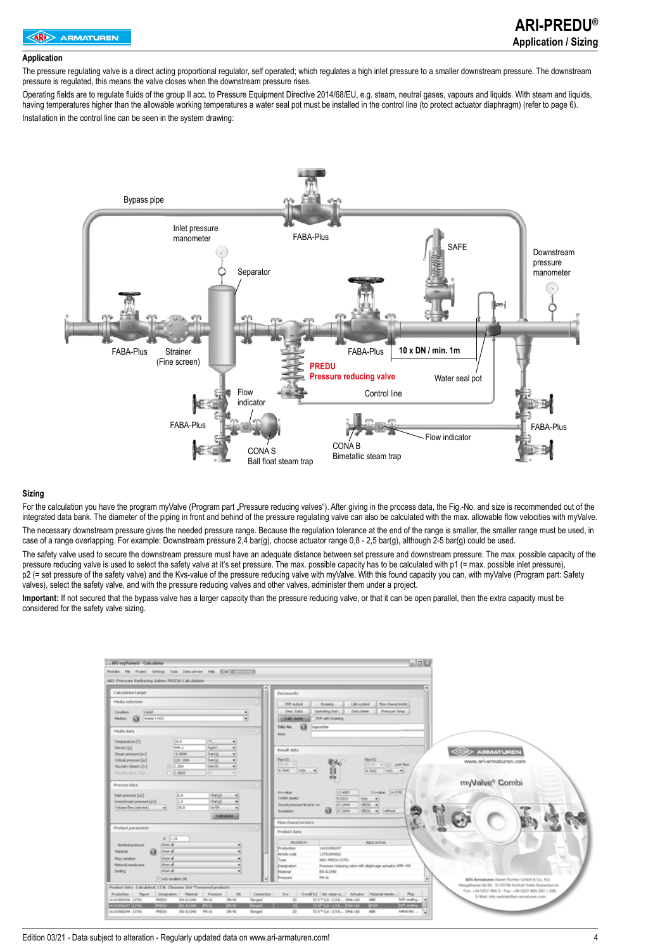#### **Application**

The pressure regulating valve is a direct acting proportional regulator, self operated; which regulates a high inlet pressure to a smaller downstream pressure. The downstream pressure is regulated, this means the valve closes when the downstream pressure rises.

Operating fields are to regulate fluids of the group II acc. to Pressure Equipment Directive 2014/68/EU, e.g. steam, neutral gases, vapours and liquids. With steam and liquids, having temperatures higher than the allowable working temperatures a water seal pot must be installed in the control line (to protect actuator diaphragm) (refer to page 6). Installation in the control line can be seen in the system drawing:



#### **Sizing**

For the calculation you have the program myValve (Program part .Pressure reducing valves"). After giving in the process data, the Fig.-No, and size is recommended out of the integrated data bank. The diameter of the piping in front and behind of the pressure regulating valve can also be calculated with the max. allowable flow velocities with myValve. The necessary downstream pressure gives the needed pressure range. Because the regulation tolerance at the end of the range is smaller, the smaller range must be used, in case of a range overlapping. For example: Downstream pressure 2,4 bar(g), choose actuator range 0,8 - 2,5 bar(g), although 2-5 bar(g) could be used.

The safety valve used to secure the downstream pressure must have an adequate distance between set pressure and downstream pressure. The max. possible capacity of the pressure reducing valve is used to select the safety valve at it's set pressure. The max. possible capacity has to be calculated with p1 (= max. possible inlet pressure), p2 (= set pressure of the safety valve) and the Kvs-value of the pressure reducing valve with myValve. With this found capacity you can, with myValve (Program part: Safety valves), select the safety valve, and with the pressure reducing valves and other valves, administer them under a project.

**Important:** If not secured that the bypass valve has a larger capacity than the pressure reducing valve, or that it can be open parallel, then the extra capacity must be considered for the safety valve sizing.

| ARI-myValvett - Calculator                                                                                                                                    | والعاب                                                                                                                                                                           |
|---------------------------------------------------------------------------------------------------------------------------------------------------------------|----------------------------------------------------------------------------------------------------------------------------------------------------------------------------------|
| Nobles File Project Settings Tools Data pervise Help (Distributions and                                                                                       |                                                                                                                                                                                  |
| ARI Pressure Reducing Valves PRIDU-Calculation                                                                                                                |                                                                                                                                                                                  |
| ۰<br><b>Calculation Larget</b><br>m                                                                                                                           | Documents                                                                                                                                                                        |
| Media selection<br>D.                                                                                                                                         | CAD-symbol<br>Flow characteristic<br><b>PDF-output</b><br>Drawing                                                                                                                |
| Liquid<br>Condition                                                                                                                                           | Data sheet<br>Desc. Data<br>Operating State.<br>Pressure-Temp.                                                                                                                   |
| ×<br>Water   H2O<br><b>Medium</b><br>53                                                                                                                       | FOF with Drawing<br>Calc, save                                                                                                                                                   |
|                                                                                                                                                               | $\Omega$<br>TAG-No.<br>Itagrumber                                                                                                                                                |
| $\mathbb{R}$<br>Media data                                                                                                                                    | <b>Nate</b>                                                                                                                                                                      |
| Temperature [T]<br>20.0<br>n.                                                                                                                                 |                                                                                                                                                                                  |
| <b>Falmi</b><br>1998.2<br>Density [p]<br>$\blacksquare$                                                                                                       | Result data<br><b>ARMATUREN</b>                                                                                                                                                  |
| harid<br>Steam pressure (pv)<br>-0.9898<br>٠                                                                                                                  | Pipe DZ                                                                                                                                                                          |
| Ottosi pressure (pc)<br>barici<br>220.1868<br>۰<br>mes/ds<br>Viscosity (Ainem.) [v]<br>(4) 11,004<br>$\sim$                                                   | Pipe DL<br>www.ari-armaturen.com<br>Dirty will be the<br>DN-40                                                                                                                   |
| Tecnolty (due, 104)<br>C 11.0022<br>æ<br>$\sim$                                                                                                               | 4,5642<br>$ m $ $\neq$<br>4.7642<br>m/s<br>$\rightarrow$                                                                                                                         |
|                                                                                                                                                               |                                                                                                                                                                                  |
| Process data<br>$\mathbb{R}$                                                                                                                                  | myValve® Combi                                                                                                                                                                   |
| Inlet pressure [pi]<br>A.D<br>barisi<br>۰                                                                                                                     | 12,4007<br>Cy-value 14.5702<br>Kyvake                                                                                                                                            |
| 2.0<br>barisi<br>Downstream pressure [p2]<br>۰                                                                                                                | Outlet speed<br>5.5313<br>m/s<br>$\blacksquare$                                                                                                                                  |
| Volume Row (service)<br>25.0<br>m/h.<br>۰                                                                                                                     | 47,2649<br>d0(A) =<br>Sound pressure level in tim-<br>67,2649<br>$d(t)$ $\mathbf{v}$ $ $ $u $ $ v $<br>53.<br>Insulation.                                                        |
| <b>Calculate</b>                                                                                                                                              |                                                                                                                                                                                  |
|                                                                                                                                                               | Flow characteristics                                                                                                                                                             |
| Product parameter<br>œ                                                                                                                                        | Product data                                                                                                                                                                     |
| b 1.15                                                                                                                                                        |                                                                                                                                                                                  |
| show all<br>Nonanal pressure                                                                                                                                  | <b>PROPERTY</b><br><b>INDICATION</b><br>16101800247<br>Productive                                                                                                                |
| a<br>show all<br>Haterial<br>٠                                                                                                                                | <b>Article code</b><br>12701004061                                                                                                                                               |
| show all<br>Plug variation.<br>۰                                                                                                                              | ARS- PREDU 12701<br><b>Type</b>                                                                                                                                                  |
| show all<br>Material-membrane<br>٠<br>draw all                                                                                                                | Pressure reducing valve with displicage actuator DNA 160<br>Designation                                                                                                          |
| Sealing<br>۰                                                                                                                                                  | EN-3,1040<br><b>Material</b><br>PM 16<br>Pressure                                                                                                                                |
| [7] prily smallest DN                                                                                                                                         | ARS-Armaturen Albert Richter GmbH & Co. KG.<br>٠<br>Margalheide 56-60 - D-33758 Schlich Holte-Stukenbrock                                                                        |
| Product data Calculated: 1136 Choosen: 164 "Favoured products-                                                                                                | Forc. +49 5207 994-0 - Fax: +49 5207 994-297 / -298                                                                                                                              |
| Production:<br>Figure<br>Designation Material<br>Pressure<br><b>DV</b><br>Connection<br>16101000246 12701<br>PREEXI<br>PN 16<br>DN 40<br>EN-3,1040<br>flanged | Trave[%] Set value ra  Actuator Platerial membr<br>Eve<br>Plug<br>E-Mail: info.vertrieb@ari-armaturen.com<br>39<br>72.5 * 0.8 - 2.5 b DMA 140<br>NBR<br>Soft sealing<br><b>A</b> |
| BOOK ROOM IS NOT<br><b>ER140</b><br><b>Timond</b><br><b>PRESS</b><br><b>EM-3.0000</b><br><b>ENTS</b>                                                          | 72.57 0.8 - 2.5 b  DNA 140<br><b>EXCH</b><br>Soft andre<br>m                                                                                                                     |
| PROTECT<br>DN 40<br>14/101/800294 12700<br>EN-3.1040<br>PN 16<br>Nanged                                                                                       | 72.5 * 0.8 - 2,5 b DPM 160<br>30<br>NH<br>metal disc                                                                                                                             |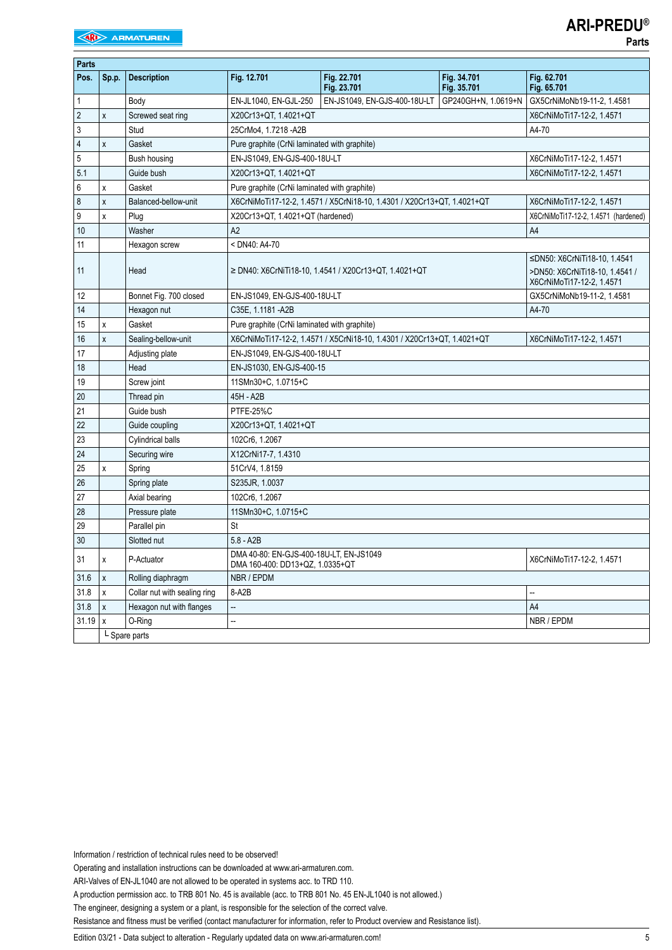|  | × | ۰,<br>× |
|--|---|---------|
|  |   |         |

| Parts          |               |                              |                                                                            |                                                                         |                            |                                                                                             |  |  |
|----------------|---------------|------------------------------|----------------------------------------------------------------------------|-------------------------------------------------------------------------|----------------------------|---------------------------------------------------------------------------------------------|--|--|
| Pos.           | Sp.p.         | <b>Description</b>           | Fig. 12.701                                                                | Fig. 22.701<br>Fig. 23.701                                              | Fig. 34.701<br>Fig. 35.701 | Fig. 62.701<br>Fig. 65.701                                                                  |  |  |
| $\mathbf{1}$   |               | Body                         | EN-JL1040, EN-GJL-250                                                      | EN-JS1049, EN-GJS-400-18U-LT                                            | GP240GH+N, 1.0619+N        | GX5CrNiMoNb19-11-2, 1.4581                                                                  |  |  |
| $\overline{2}$ | X             | Screwed seat ring            | X20Cr13+QT, 1.4021+QT                                                      | X6CrNiMoTi17-12-2, 1.4571                                               |                            |                                                                                             |  |  |
| 3              |               | Stud                         | 25CrMo4, 1.7218 - A2B<br>A4-70                                             |                                                                         |                            |                                                                                             |  |  |
| 4              | X             | Gasket                       | Pure graphite (CrNi laminated with graphite)                               |                                                                         |                            |                                                                                             |  |  |
| 5              |               | Bush housing                 | EN-JS1049, EN-GJS-400-18U-LT                                               |                                                                         |                            | X6CrNiMoTi17-12-2, 1.4571                                                                   |  |  |
| 5.1            |               | Guide bush                   | X20Cr13+QT, 1.4021+QT                                                      |                                                                         |                            | X6CrNiMoTi17-12-2, 1.4571                                                                   |  |  |
| 6              | X             | Gasket                       | Pure graphite (CrNi laminated with graphite)                               |                                                                         |                            |                                                                                             |  |  |
| 8              | X             | Balanced-bellow-unit         |                                                                            | X6CrNiMoTi17-12-2, 1.4571 / X5CrNi18-10, 1.4301 / X20Cr13+QT, 1.4021+QT |                            | X6CrNiMoTi17-12-2, 1.4571                                                                   |  |  |
| 9              | X             | Plug                         | X20Cr13+QT, 1.4021+QT (hardened)                                           |                                                                         |                            | X6CrNiMoTi17-12-2, 1.4571 (hardened)                                                        |  |  |
| 10             |               | Washer                       | A2                                                                         |                                                                         |                            | A4                                                                                          |  |  |
| 11             |               | Hexagon screw                | < DN40: A4-70                                                              |                                                                         |                            |                                                                                             |  |  |
| 11             |               | Head                         |                                                                            | ≥ DN40: X6CrNiTi18-10, 1.4541 / X20Cr13+QT, 1.4021+QT                   |                            | ≤DN50: X6CrNiTi18-10, 1.4541<br>>DN50: X6CrNiTi18-10, 1.4541 /<br>X6CrNiMoTi17-12-2, 1.4571 |  |  |
| 12             |               | Bonnet Fig. 700 closed       | EN-JS1049, EN-GJS-400-18U-LT                                               |                                                                         |                            | GX5CrNiMoNb19-11-2, 1.4581                                                                  |  |  |
| 14             |               | Hexagon nut                  | C35E, 1.1181 - A2B                                                         |                                                                         |                            | A4-70                                                                                       |  |  |
| 15             | X             | Gasket                       | Pure graphite (CrNi laminated with graphite)                               |                                                                         |                            |                                                                                             |  |  |
| 16             | X             | Sealing-bellow-unit          |                                                                            | X6CrNiMoTi17-12-2, 1.4571 / X5CrNi18-10, 1.4301 / X20Cr13+QT, 1.4021+QT |                            | X6CrNiMoTi17-12-2, 1.4571                                                                   |  |  |
| 17             |               | Adjusting plate              | EN-JS1049, EN-GJS-400-18U-LT                                               |                                                                         |                            |                                                                                             |  |  |
| 18             |               | Head                         | EN-JS1030, EN-GJS-400-15                                                   |                                                                         |                            |                                                                                             |  |  |
| 19             |               | Screw joint                  | 11SMn30+C, 1.0715+C                                                        |                                                                         |                            |                                                                                             |  |  |
| 20             |               | Thread pin                   | 45H - A2B                                                                  |                                                                         |                            |                                                                                             |  |  |
| 21             |               | Guide bush                   | PTFE-25%C                                                                  |                                                                         |                            |                                                                                             |  |  |
| 22             |               | Guide coupling               | X20Cr13+QT, 1.4021+QT                                                      |                                                                         |                            |                                                                                             |  |  |
| 23             |               | <b>Cylindrical balls</b>     | 102Cr6, 1.2067                                                             |                                                                         |                            |                                                                                             |  |  |
| 24             |               | Securing wire                | X12CrNi17-7, 1.4310                                                        |                                                                         |                            |                                                                                             |  |  |
| 25             | x             | Spring                       | 51CrV4, 1.8159                                                             |                                                                         |                            |                                                                                             |  |  |
| 26             |               | Spring plate                 | S235JR, 1.0037                                                             |                                                                         |                            |                                                                                             |  |  |
| 27             |               | Axial bearing                | 102Cr6, 1.2067                                                             |                                                                         |                            |                                                                                             |  |  |
| 28             |               | Pressure plate               | 11SMn30+C, 1.0715+C                                                        |                                                                         |                            |                                                                                             |  |  |
| 29             |               | Parallel pin                 | St                                                                         |                                                                         |                            |                                                                                             |  |  |
| 30             |               | Slotted nut                  | $5.8 - A2B$                                                                |                                                                         |                            |                                                                                             |  |  |
| 31             | χ             | P-Actuator                   | DMA 40-80: EN-GJS-400-18U-LT, EN-JS1049<br>DMA 160-400: DD13+QZ, 1.0335+QT |                                                                         |                            | X6CrNiMoTi17-12-2, 1.4571                                                                   |  |  |
| 31.6           | X             | Rolling diaphragm            | NBR / EPDM                                                                 |                                                                         |                            |                                                                                             |  |  |
| 31.8           | X             | Collar nut with sealing ring | 8-A2B                                                                      |                                                                         |                            | --                                                                                          |  |  |
| 31.8           | X             | Hexagon nut with flanges     | Щ.                                                                         |                                                                         |                            | A <sub>4</sub>                                                                              |  |  |
| 31.19          | $\mathsf{x}$  | O-Ring                       | Ξ.                                                                         |                                                                         |                            | NBR / EPDM                                                                                  |  |  |
|                | L Spare parts |                              |                                                                            |                                                                         |                            |                                                                                             |  |  |

Information / restriction of technical rules need to be observed!

Operating and installation instructions can be downloaded at www.ari-armaturen.com.

ARI-Valves of EN-JL1040 are not allowed to be operated in systems acc. to TRD 110.

A production permission acc. to TRB 801 No. 45 is available (acc. to TRB 801 No. 45 EN-JL1040 is not allowed.)

The engineer, designing a system or a plant, is responsible for the selection of the correct valve.

Resistance and fitness must be verified (contact manufacturer for information, refer to Product overview and Resistance list).

Edition 03/21 - Data subject to alteration - Regularly updated data on www.ari-armaturen.com!<br>5